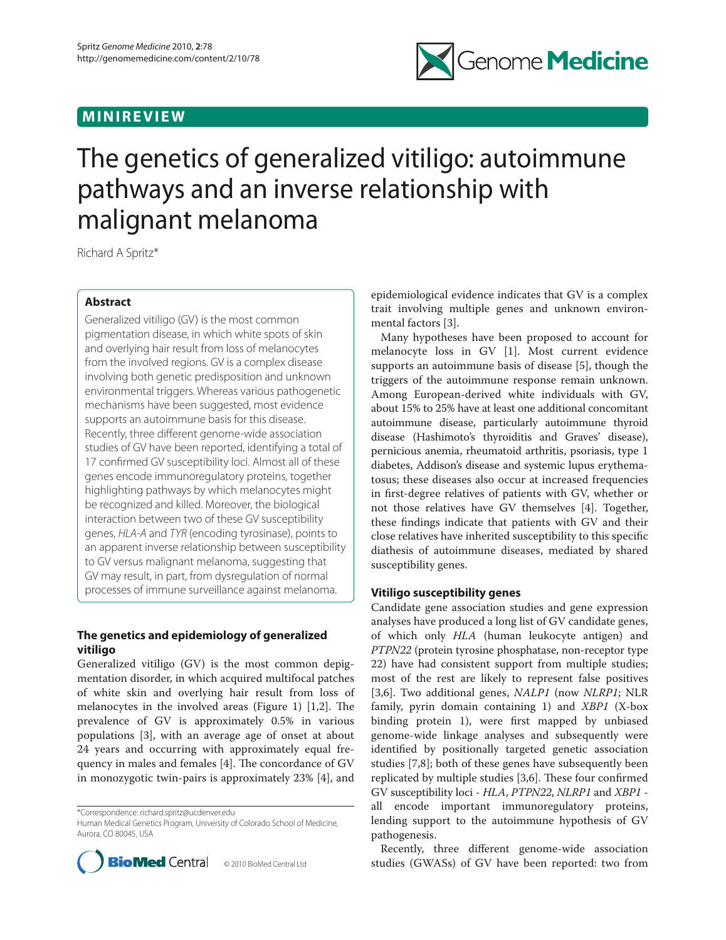## **MINIREVIEW**



# The genetics of generalized vitiligo: autoimmune pathways and an inverse relationship with malignant melanoma

Richard A Spritz\*

## **Abstract**

Generalized vitiligo (GV) is the most common pigmentation disease, in which white spots of skin and overlying hair result from loss of melanocytes from the involved regions. GV is a complex disease involving both genetic predisposition and unknown environmental triggers. Whereas various pathogenetic mechanisms have been suggested, most evidence supports an autoimmune basis for this disease. Recently, three different genome-wide association studies of GV have been reported, identifying a total of 17 confirmed GV susceptibility loci. Almost all of these genes encode immunoregulatory proteins, together highlighting pathways by which melanocytes might be recognized and killed. Moreover, the biological interaction between two of these GV susceptibility genes, HLA-A and TYR (encoding tyrosinase), points to an apparent inverse relationship between susceptibility to GV versus malignant melanoma, suggesting that GV may result, in part, from dysregulation of normal processes of immune surveillance against melanoma.

## **The genetics and epidemiology of generalized vitiligo**

Generalized vitiligo (GV) is the most common depigmentation disorder, in which acquired multifocal patches of white skin and overlying hair result from loss of melanocytes in the involved areas (Figure 1)  $[1,2]$ . The prevalence of GV is approximately 0.5% in various populations [3], with an average age of onset at about 24 years and occurring with approximately equal frequency in males and females  $[4]$ . The concordance of  $GV$ in monozygotic twin-pairs is approximately 23% [4], and

\*Correspondence: richard.spritz@ucdenver.edu

Human Medical Genetics Program, University of Colorado School of Medicine, Aurora, CO 80045, USA



epidemiological evidence indicates that GV is a complex trait involving multiple genes and unknown environmental factors [3].

Many hypotheses have been proposed to account for melanocyte loss in GV [1]. Most current evidence supports an autoimmune basis of disease [5], though the triggers of the autoimmune response remain unknown. Among European-derived white individuals with GV, about 15% to 25% have at least one additional concomitant autoimmune disease, particularly autoimmune thyroid disease (Hashimoto's thyroiditis and Graves' disease), pernicious anemia, rheumatoid arthritis, psoriasis, type 1 diabetes, Addison's disease and systemic lupus erythematosus; these diseases also occur at increased frequencies in first-degree relatives of patients with GV, whether or not those relatives have GV themselves [4]. Together, these findings indicate that patients with GV and their close relatives have inherited susceptibility to this specific diathesis of autoimmune diseases, mediated by shared susceptibility genes.

## **Vitiligo susceptibility genes**

Candidate gene association studies and gene expression analyses have produced a long list of GV candidate genes, of which only *HLA* (human leukocyte antigen) and *PTPN22* (protein tyrosine phosphatase, non-receptor type 22) have had consistent support from multiple studies; most of the rest are likely to represent false positives [3,6]. Two additional genes, *NALP1* (now *NLRP1*; NLR family, pyrin domain containing 1) and *XBP1* (X-box binding protein 1), were first mapped by unbiased genome-wide linkage analyses and subsequently were identified by positionally targeted genetic association studies [7,8]; both of these genes have subsequently been replicated by multiple studies [3,6]. These four confirmed GV susceptibility loci - *HLA*, *PTPN22*, *NLRP1* and *XBP1* all encode important immunoregulatory proteins, lending support to the autoimmune hypothesis of GV pathogenesis.

Recently, three different genome-wide association studies (GWASs) of GV have been reported: two from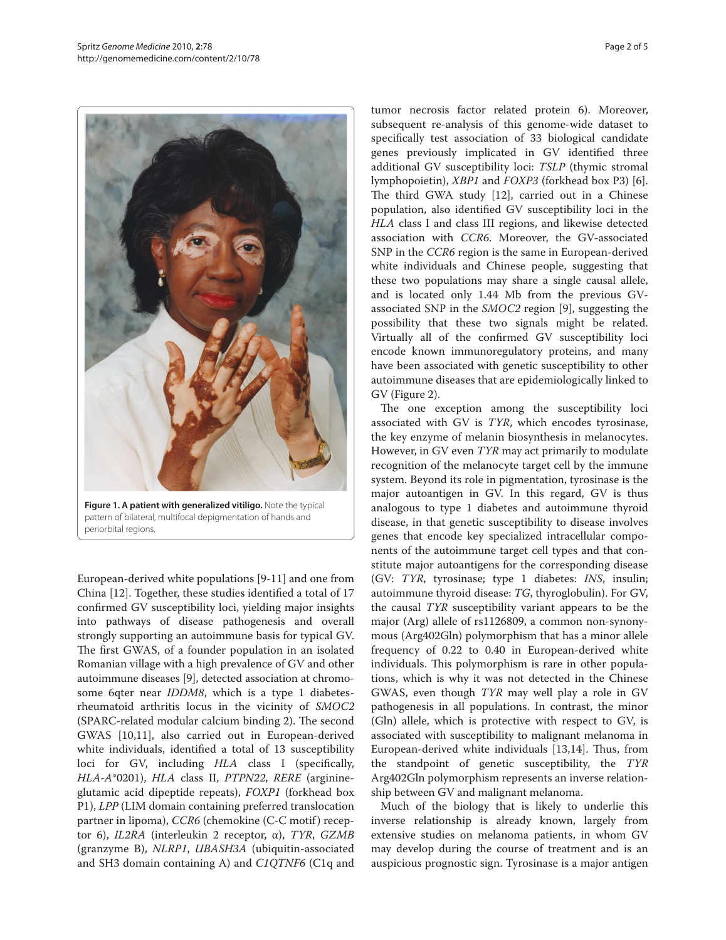

**Figure 1. A patient with generalized vitiligo.** Note the typical pattern of bilateral, multifocal depigmentation of hands and periorbital regions.

European-derived white populations [9-11] and one from China [12]. Together, these studies identified a total of 17 confirmed GV susceptibility loci, yielding major insights into pathways of disease pathogenesis and overall strongly supporting an autoimmune basis for typical GV. The first GWAS, of a founder population in an isolated Romanian village with a high prevalence of GV and other autoimmune diseases [9], detected association at chromosome 6qter near *IDDM8*, which is a type 1 diabetesrheumatoid arthritis locus in the vicinity of *SMOC2* (SPARC-related modular calcium binding 2). The second GWAS [10,11], also carried out in European-derived white individuals, identified a total of 13 susceptibility loci for GV, including *HLA* class I (specifically, *HLA-A*\*0201), *HLA* class II, *PTPN22*, *RERE* (arginineglutamic acid dipeptide repeats), *FOXP1* (forkhead box P1), *LPP* (LIM domain containing preferred translocation partner in lipoma), *CCR6* (chemokine (C-C motif) receptor 6), *IL2RA* (interleukin 2 receptor, α), *TYR*, *GZMB*  (granzyme B), *NLRP1*, *UBASH3A* (ubiquitin-associated and SH3 domain containing A) and *C1QTNF6* (C1q and tumor necrosis factor related protein 6). Moreover, subsequent re-analysis of this genome-wide dataset to specifically test association of 33 biological candidate genes previously implicated in GV identified three additional GV susceptibility loci: *TSLP* (thymic stromal lymphopoietin), *XBP1* and *FOXP3* (forkhead box P3) [6]. The third GWA study [12], carried out in a Chinese population, also identified GV susceptibility loci in the *HLA* class I and class III regions, and likewise detected association with *CCR6*. Moreover, the GV-associated SNP in the *CCR6* region is the same in European-derived white individuals and Chinese people, suggesting that these two populations may share a single causal allele, and is located only 1.44 Mb from the previous GVassociated SNP in the *SMOC2* region [9], suggesting the possibility that these two signals might be related. Virtually all of the confirmed GV susceptibility loci encode known immunoregulatory proteins, and many have been associated with genetic susceptibility to other autoimmune diseases that are epidemiologically linked to GV (Figure 2).

The one exception among the susceptibility loci associated with GV is *TYR*, which encodes tyrosinase, the key enzyme of melanin biosynthesis in melanocytes. However, in GV even *TYR* may act primarily to modulate recognition of the melanocyte target cell by the immune system. Beyond its role in pigmentation, tyrosinase is the major autoantigen in GV. In this regard, GV is thus analogous to type 1 diabetes and autoimmune thyroid disease, in that genetic susceptibility to disease involves genes that encode key specialized intracellular components of the autoimmune target cell types and that constitute major autoantigens for the corresponding disease (GV: *TYR*, tyrosinase; type 1 diabetes: *INS*, insulin; autoimmune thyroid disease: *TG*, thyroglobulin). For GV, the causal *TYR* susceptibility variant appears to be the major (Arg) allele of rs1126809, a common non-synonymous (Arg402Gln) polymorphism that has a minor allele frequency of 0.22 to 0.40 in European-derived white individuals. This polymorphism is rare in other populations, which is why it was not detected in the Chinese GWAS, even though *TYR* may well play a role in GV pathogenesis in all populations. In contrast, the minor (Gln) allele, which is protective with respect to GV, is associated with susceptibility to malignant melanoma in European-derived white individuals [13,14]. Thus, from the standpoint of genetic susceptibility, the *TYR* Arg402Gln polymorphism represents an inverse relationship between GV and malignant melanoma.

Much of the biology that is likely to underlie this inverse relationship is already known, largely from extensive studies on melanoma patients, in whom GV may develop during the course of treatment and is an auspicious prognostic sign. Tyrosinase is a major antigen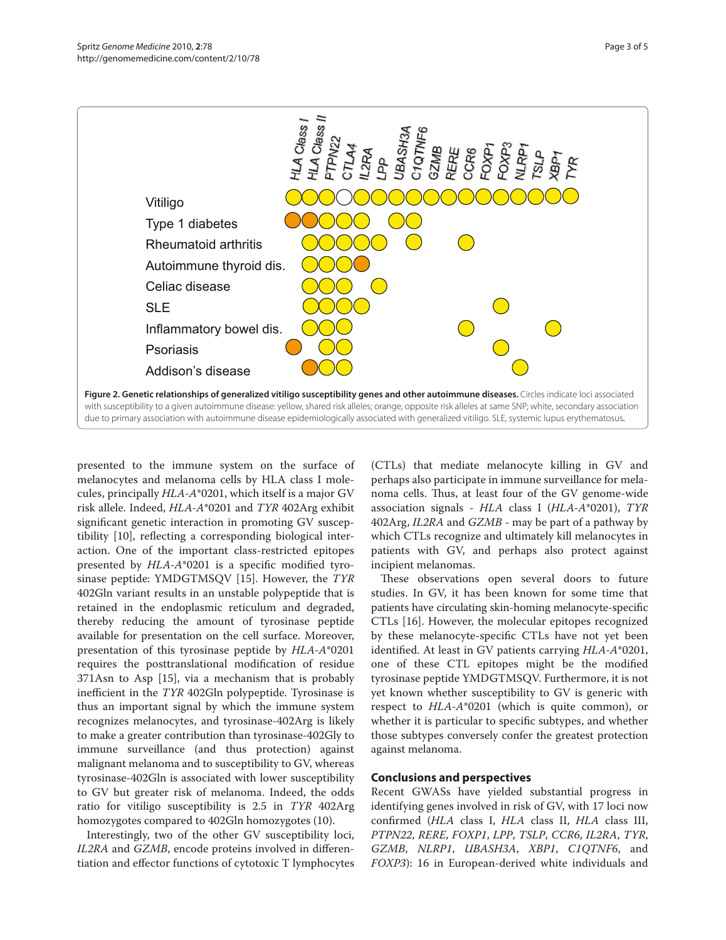

presented to the immune system on the surface of melanocytes and melanoma cells by HLA class I molecules, principally *HLA-A*\*0201, which itself is a major GV risk allele. Indeed, *HLA-A*\*0201 and *TYR* 402Arg exhibit significant genetic interaction in promoting GV susceptibility [10], reflecting a corresponding biological interaction. One of the important class-restricted epitopes presented by *HLA-A*\*0201 is a specific modified tyrosinase peptide: YMDGTMSQV [15]. However, the *TYR* 402Gln variant results in an unstable polypeptide that is retained in the endoplasmic reticulum and degraded, thereby reducing the amount of tyrosinase peptide available for presentation on the cell surface. Moreover, presentation of this tyrosinase peptide by *HLA-A*\*0201 requires the posttranslational modification of residue 371Asn to Asp [15], via a mechanism that is probably inefficient in the *TYR* 402Gln polypeptide. Tyrosinase is thus an important signal by which the immune system recognizes melanocytes, and tyrosinase-402Arg is likely to make a greater contribution than tyrosinase-402Gly to immune surveillance (and thus protection) against malignant melanoma and to susceptibility to GV, whereas tyrosinase-402Gln is associated with lower susceptibility to GV but greater risk of melanoma. Indeed, the odds ratio for vitiligo susceptibility is 2.5 in *TYR* 402Arg homozygotes compared to 402Gln homozygotes (10).

Interestingly, two of the other GV susceptibility loci, *IL2RA* and *GZMB*, encode proteins involved in differentiation and effector functions of cytotoxic T lymphocytes

(CTLs) that mediate melanocyte killing in GV and perhaps also participate in immune surveillance for melanoma cells. Thus, at least four of the GV genome-wide association signals - *HLA* class I (*HLA-A*\*0201), *TYR* 402Arg, *IL2RA* and *GZMB* - may be part of a pathway by which CTLs recognize and ultimately kill melanocytes in patients with GV, and perhaps also protect against incipient melanomas.

These observations open several doors to future studies. In GV, it has been known for some time that patients have circulating skin-homing melanocyte-specific CTLs [16]. However, the molecular epitopes recognized by these melanocyte-specific CTLs have not yet been identified. At least in GV patients carrying *HLA-A*\*0201, one of these CTL epitopes might be the modified tyrosinase peptide YMDGTMSQV. Furthermore, it is not yet known whether susceptibility to GV is generic with respect to *HLA-A*\*0201 (which is quite common), or whether it is particular to specific subtypes, and whether those subtypes conversely confer the greatest protection against melanoma.

### **Conclusions and perspectives**

Recent GWASs have yielded substantial progress in identifying genes involved in risk of GV, with 17 loci now confirmed (*HLA* class I, *HLA* class II, *HLA* class III, *PTPN22*, *RERE*, *FOXP1*, *LPP*, *TSLP*, *CCR6*, *IL2RA*, *TYR*, *GZMB*, *NLRP1*, *UBASH3A*, *XBP1*, *C1QTNF6*, and *FOXP3*): 16 in European-derived white individuals and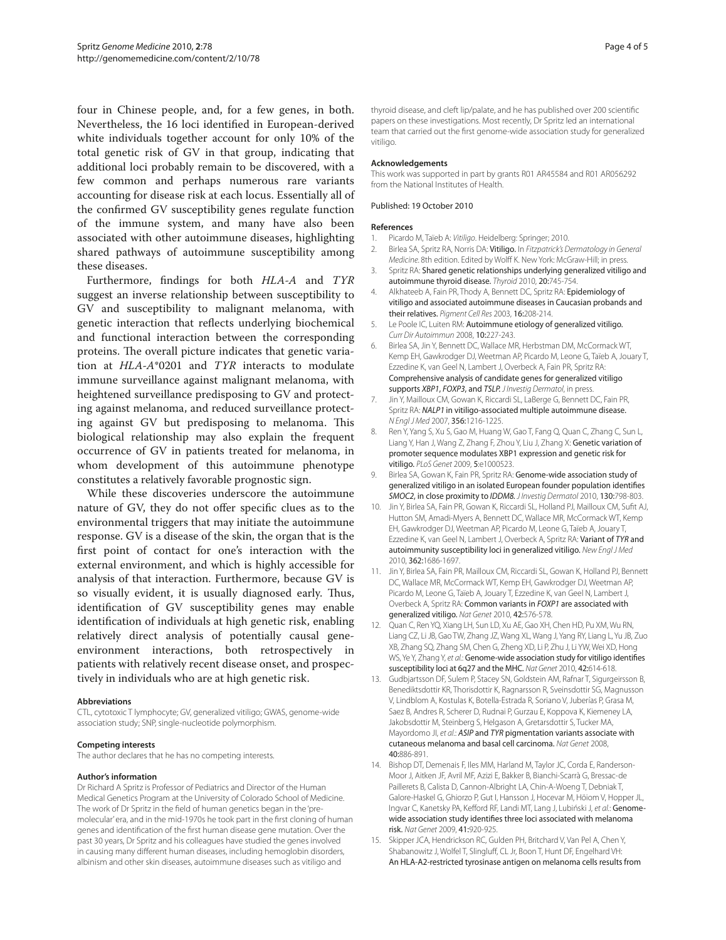four in Chinese people, and, for a few genes, in both. Nevertheless, the 16 loci identified in European-derived white individuals together account for only 10% of the total genetic risk of GV in that group, indicating that additional loci probably remain to be discovered, with a few common and perhaps numerous rare variants accounting for disease risk at each locus. Essentially all of the confirmed GV susceptibility genes regulate function of the immune system, and many have also been associated with other autoimmune diseases, highlighting shared pathways of autoimmune susceptibility among these diseases.

Furthermore, findings for both *HLA-A* and *TYR* suggest an inverse relationship between susceptibility to GV and susceptibility to malignant melanoma, with genetic interaction that reflects underlying biochemical and functional interaction between the corresponding proteins. The overall picture indicates that genetic variation at *HLA-A*\*0201 and *TYR* interacts to modulate immune surveillance against malignant melanoma, with heightened surveillance predisposing to GV and protecting against melanoma, and reduced surveillance protecting against GV but predisposing to melanoma. This biological relationship may also explain the frequent occurrence of GV in patients treated for melanoma, in whom development of this autoimmune phenotype constitutes a relatively favorable prognostic sign.

While these discoveries underscore the autoimmune nature of GV, they do not offer specific clues as to the environmental triggers that may initiate the autoimmune response. GV is a disease of the skin, the organ that is the first point of contact for one's interaction with the external environment, and which is highly accessible for analysis of that interaction. Furthermore, because GV is so visually evident, it is usually diagnosed early. Thus, identification of GV susceptibility genes may enable identification of individuals at high genetic risk, enabling relatively direct analysis of potentially causal geneenvironment interactions, both retrospectively in patients with relatively recent disease onset, and prospectively in individuals who are at high genetic risk.

#### **Abbreviations**

CTL, cytotoxic T lymphocyte; GV, generalized vitiligo; GWAS, genome-wide association study; SNP, single-nucleotide polymorphism.

#### **Competing interests**

The author declares that he has no competing interests.

#### **Author's information**

Dr Richard A Spritz is Professor of Pediatrics and Director of the Human Medical Genetics Program at the University of Colorado School of Medicine. The work of Dr Spritz in the field of human genetics began in the 'premolecular' era, and in the mid-1970s he took part in the first cloning of human genes and identification of the first human disease gene mutation. Over the past 30 years, Dr Spritz and his colleagues have studied the genes involved in causing many different human diseases, including hemoglobin disorders, albinism and other skin diseases, autoimmune diseases such as vitiligo and

thyroid disease, and cleft lip/palate, and he has published over 200 scientific papers on these investigations. Most recently, Dr Spritz led an international team that carried out the first genome-wide association study for generalized vitiligo.

#### **Acknowledgements**

This work was supported in part by grants R01 AR45584 and R01 AR056292 from the National Institutes of Health.

#### Published: 19 October 2010

#### **References**

- 1. Picardo M, Taїeb A: Vitiligo. Heidelberg: Springer; 2010.
- 2. Birlea SA, Spritz RA, Norris DA: Vitiligo. In Fitzpatrick's Dermatology in General Medicine. 8th edition. Edited by Wolff K. New York: McGraw-Hill; in press.
- 3. Spritz RA: Shared genetic relationships underlying generalized vitiligo and autoimmune thyroid disease. Thyroid 2010, 20:745-754.
- 4. Alkhateeb A, Fain PR, Thody A, Bennett DC, Spritz RA: Epidemiology of vitiligo and associated autoimmune diseases in Caucasian probands and their relatives. Pigment Cell Res 2003, 16:208-214.
- 5. Le Poole IC, Luiten RM: Autoimmune etiology of generalized vitiligo. Curr Dir Autoimmun 2008, 10:227-243.
- 6. Birlea SA, Jin Y, Bennett DC, Wallace MR, Herbstman DM, McCormack WT, Kemp EH, Gawkrodger DJ, Weetman AP, Picardo M, Leone G, Taïeb A, Jouary T, Ezzedine K, van Geel N, Lambert J, Overbeck A, Fain PR, Spritz RA: Comprehensive analysis of candidate genes for generalized vitiligo supports XBP1, FOXP3, and TSLP. J Investig Dermatol, in press.
- 7. Jin Y, Mailloux CM, Gowan K, Riccardi SL, LaBerge G, Bennett DC, Fain PR, Spritz RA: NALP1 in vitiligo-associated multiple autoimmune disease. N Engl J Med 2007, 356:1216-1225.
- Ren Y, Yang S, Xu S, Gao M, Huang W, Gao T, Fang Q, Quan C, Zhang C, Sun L, Liang Y, Han J, Wang Z, Zhang F, Zhou Y, Liu J, Zhang X: Genetic variation of promoter sequence modulates XBP1 expression and genetic risk for vitiligo. PLoS Genet 2009, 5:e1000523.
- 9. Birlea SA, Gowan K, Fain PR, Spritz RA: Genome-wide association study of generalized vitiligo in an isolated European founder population identifies SMOC2, in close proximity to IDDM8. J Investig Dermatol 2010, 130:798-803.
- 10. Jin Y, Birlea SA, Fain PR, Gowan K, Riccardi SL, Holland PJ, Mailloux CM, Sufit AJ, Hutton SM, Amadi-Myers A, Bennett DC, Wallace MR, McCormack WT, Kemp EH, Gawkrodger DJ, Weetman AP, Picardo M, Leone G, Taïeb A, Jouary T, Ezzedine K, van Geel N, Lambert J, Overbeck A, Spritz RA: Variant of TYR and autoimmunity susceptibility loci in generalized vitiligo. New Engl J Med 2010, 362:1686-1697.
- 11. Jin Y, Birlea SA, Fain PR, Mailloux CM, Riccardi SL, Gowan K, Holland PJ, Bennett DC, Wallace MR, McCormack WT, Kemp EH, Gawkrodger DJ, Weetman AP, Picardo M, Leone G, Taïeb A, Jouary T, Ezzedine K, van Geel N, Lambert J, Overbeck A, Spritz RA: Common variants in FOXP1 are associated with generalized vitiligo. Nat Genet 2010, 42:576-578.
- 12. Quan C, Ren YQ, Xiang LH, Sun LD, Xu AE, Gao XH, Chen HD, Pu XM, Wu RN, Liang CZ, Li JB, Gao TW, Zhang JZ, Wang XL, Wang J, Yang RY, Liang L, Yu JB, Zuo XB, Zhang SQ, Zhang SM, Chen G, Zheng XD, Li P, Zhu J, Li YW, Wei XD, Hong WS, Ye Y, Zhang Y, et al.: Genome-wide association study for vitiligo identifies susceptibility loci at 6q27 and the MHC. Nat Genet 2010, 42:614-618.
- 13. Gudbjartsson DF, Sulem P, Stacey SN, Goldstein AM, Rafnar T, Sigurgeirsson B, Benediktsdottir KR, Thorisdottir K, Ragnarsson R, Sveinsdottir SG, Magnusson V, Lindblom A, Kostulas K, Botella-Estrada R, Soriano V, Juberías P, Grasa M, Saez B, Andres R, Scherer D, Rudnai P, Gurzau E, Koppova K, Kiemeney LA, Jakobsdottir M, Steinberg S, Helgason A, Gretarsdottir S, Tucker MA, Mayordomo JI, et al.: ASIP and TYR pigmentation variants associate with cutaneous melanoma and basal cell carcinoma. Nat Genet 2008, 40:886-891.
- 14. Bishop DT, Demenais F, Iles MM, Harland M, Taylor JC, Corda E, Randerson-Moor J, Aitken JF, Avril MF, Azizi E, Bakker B, Bianchi-Scarrà G, Bressac-de Paillerets B, Calista D, Cannon-Albright LA, Chin-A-Woeng T, Debniak T, Galore-Haskel G, Ghiorzo P, Gut I, Hansson J, Hocevar M, Höiom V, Hopper JL, Ingvar C, Kanetsky PA, Kefford RF, Landi MT, Lang J, Lubiński J, et al.: Genomewide association study identifies three loci associated with melanoma risk. Nat Genet 2009, 41:920-925.
- 15. Skipper JCA, Hendrickson RC, Gulden PH, Britchard V, Van Pel A, Chen Y, Shabanowitz J, Wolfel T, Slingluff, CL Jr, Boon T, Hunt DF, Engelhard VH: An HLA-A2-restricted tyrosinase antigen on melanoma cells results from